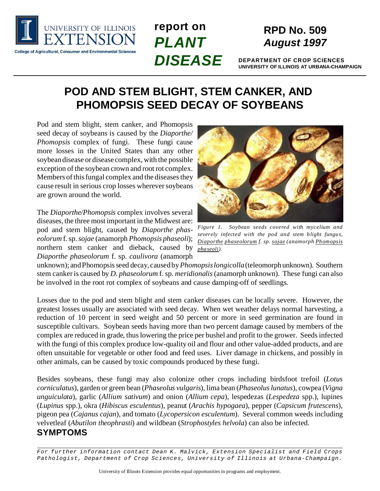

# **report on** *PLANT DISEASE*

# **RPD No. 509** *August 1997*

**DEPARTMENT OF CROP SCIENCES UNIVERSITY OF ILLINOIS AT URBANA-CHAMPAIGN**

# **POD AND STEM BLIGHT, STEM CANKER, AND PHOMOPSIS SEED DECAY OF SOYBEANS**

Pod and stem blight, stem canker, and Phomopsis seed decay of soybeans is caused by the *Diaporthe/ Phomopsis* complex of fungi. These fungi cause more losses in the United States than any other soybean disease or disease complex, with the possible exception of the soybean crown and root rot complex. Members of this fungal complex and the diseases they cause result in serious crop losses wherever soybeans are grown around the world.

The *Diaporthe/Phomopsis* complex involves several diseases, the three most important in the Midwest are: pod and stem blight, caused by *Diaporthe phaseolorum* f. sp. *sojae* (anamorph *Phomopsis phaseoli*); northern stem canker and dieback, caused by *Diaporthe phaseolorum* f. sp. *caulivora* (anamorph



*Figure 1. Soybean seeds covered with mycelium and severely infected with the pod and stem blight fungus, Diaporthe phaseolorum f. sp. sojae (anamorph Phomopsis phaseoli).*

unknown); and Phomopsis seed decay, caused by *Phomopsis longicolla* (teleomorph unknown). Southern stem canker is caused by *D. phaseolorum* f. sp. *meridionalis* (anamorph unknown). These fungi can also be involved in the root rot complex of soybeans and cause damping-off of seedlings.

Losses due to the pod and stem blight and stem canker diseases can be locally severe. However, the greatest losses usually are associated with seed decay. When wet weather delays normal harvesting, a reduction of 10 percent in seed weight and 50 percent or more in seed germination are found in susceptible cultivars. Soybean seeds having more than two percent damage caused by members of the complex are reduced in grade, thus lowering the price per bushel and profit to the grower. Seeds infected with the fungi of this complex produce low-quality oil and flour and other value-added products, and are often unsuitable for vegetable or other food and feed uses. Liver damage in chickens, and possibly in other animals, can be caused by toxic compounds produced by these fungi.

Besides soybeans, these fungi may also colonize other crops including birdsfoot trefoil (*Lotus corniculatus*), garden or green bean (*Phaseolus vulgaris*), lima bean (*Phaseolus lunatus*), cowpea (*Vigna unguiculata*), garlic (*Allium sativum*) and onion (*Allium cepa*), lespedezas (*Lespedeza* spp.), lupines (*Lupinus* spp.), okra (*Hibiscus esculentus*), peanut (*Arachis hypogaea*), pepper (*Capsicum frutescens*), pigeon pea (*Cajanus cajan*), and tomato (*Lycopersicon esculentum*). Several common weeds including velvetleaf (*Abutilon theophrasti*) and wildbean (*Strophostyles helvola*) can also be infected. **SYMPTOMS**

*For further information contact Dean K. Malvick, Extension Specialist and Field Crops Pathologist, Department of Crop Sciences, University of Illinois at Urbana-Champaign.*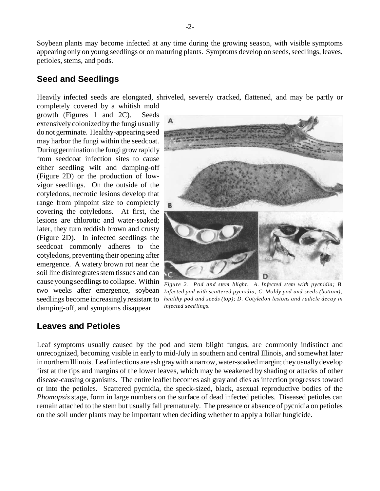-2-

Soybean plants may become infected at any time during the growing season, with visible symptoms appearing only on young seedlings or on maturing plants. Symptoms develop on seeds, seedlings, leaves, petioles, stems, and pods.

## **Seed and Seedlings**

Heavily infected seeds are elongated, shriveled, severely cracked, flattened, and may be partly or

completely covered by a whitish mold growth (Figures 1 and 2C). Seeds extensively colonized by the fungi usually do not germinate. Healthy-appearing seed may harbor the fungi within the seedcoat. During germination the fungi grow rapidly from seedcoat infection sites to cause either seedling wilt and damping-off (Figure 2D) or the production of lowvigor seedlings. On the outside of the cotyledons, necrotic lesions develop that range from pinpoint size to completely covering the cotyledons. At first, the lesions are chlorotic and water-soaked; later, they turn reddish brown and crusty (Figure 2D). In infected seedlings the seedcoat commonly adheres to the cotyledons, preventing their opening after emergence. A watery brown rot near the soil line disintegrates stem tissues and can damping-off, and symptoms disappear.

cause young seedlings to collapse. Within  $F_{figure\ 2.}$  Pod and stem blight. A. Infected stem with pycnidia; B. two weeks after emergence, soybean Infected pod with scattered pycnidia; C. Moldy pod and seeds (bottom); *healthy pod and seeds (top); D. Cotyledon lesions and radicle decay in* seedlings become increasingly resistant to *infected seedlings.*

## **Leaves and Petioles**

Leaf symptoms usually caused by the pod and stem blight fungus, are commonly indistinct and unrecognized, becoming visible in early to mid-July in southern and central Illinois, and somewhat later in northern Illinois. Leaf infections are ash gray with a narrow, water-soaked margin; they usually develop first at the tips and margins of the lower leaves, which may be weakened by shading or attacks of other disease-causing organisms. The entire leaflet becomes ash gray and dies as infection progresses toward or into the petioles. Scattered pycnidia, the speck-sized, black, asexual reproductive bodies of the *Phomopsis* stage, form in large numbers on the surface of dead infected petioles. Diseased petioles can remain attached to the stem but usually fall prematurely. The presence or absence of pycnidia on petioles on the soil under plants may be important when deciding whether to apply a foliar fungicide.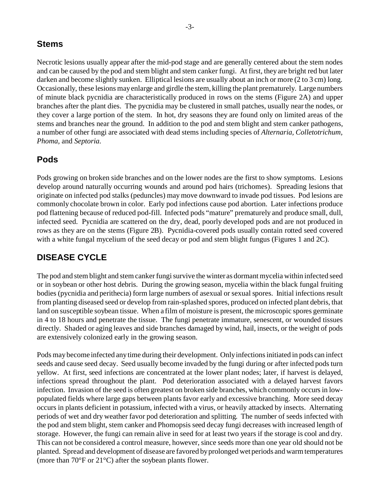### **Stems**

Necrotic lesions usually appear after the mid-pod stage and are generally centered about the stem nodes and can be caused by the pod and stem blight and stem canker fungi. At first, they are bright red but later darken and become slightly sunken. Elliptical lesions are usually about an inch or more (2 to 3 cm) long. Occasionally, these lesions may enlarge and girdle the stem, killing the plant prematurely. Large numbers of minute black pycnidia are characteristically produced in rows on the stems (Figure 2A) and upper branches after the plant dies. The pycnidia may be clustered in small patches, usually near the nodes, or they cover a large portion of the stem. In hot, dry seasons they are found only on limited areas of the stems and branches near the ground. In addition to the pod and stem blight and stem canker pathogens, a number of other fungi are associated with dead stems including species of *Alternaria, Colletotrichum, Phoma,* and *Septoria.*

### **Pods**

Pods growing on broken side branches and on the lower nodes are the first to show symptoms. Lesions develop around naturally occurring wounds and around pod hairs (trichomes). Spreading lesions that originate on infected pod stalks (peduncles) may move downward to invade pod tissues. Pod lesions are commonly chocolate brown in color. Early pod infections cause pod abortion. Later infections produce pod flattening because of reduced pod-fill. Infected pods "mature" prematurely and produce small, dull, infected seed. Pycnidia are scattered on the dry, dead, poorly developed pods and are not produced in rows as they are on the stems (Figure 2B). Pycnidia-covered pods usually contain rotted seed covered with a white fungal mycelium of the seed decay or pod and stem blight fungus (Figures 1 and 2C).

## **DISEASE CYCLE**

The pod and stem blight and stem canker fungi survive the winter as dormant mycelia within infected seed or in soybean or other host debris. During the growing season, mycelia within the black fungal fruiting bodies (pycnidia and perithecia) form large numbers of asexual or sexual spores. Initial infections result from planting diseased seed or develop from rain-splashed spores, produced on infected plant debris, that land on susceptible soybean tissue. When a film of moisture is present, the microscopic spores germinate in 4 to 18 hours and penetrate the tissue. The fungi penetrate immature, senescent, or wounded tissues directly. Shaded or aging leaves and side branches damaged by wind, hail, insects, or the weight of pods are extensively colonized early in the growing season.

Pods may become infected any time during their development. Only infections initiated in pods can infect seeds and cause seed decay. Seed usually become invaded by the fungi during or after infected pods turn yellow. At first, seed infections are concentrated at the lower plant nodes; later, if harvest is delayed, infections spread throughout the plant. Pod deterioration associated with a delayed harvest favors infection. Invasion of the seed is often greatest on broken side branches, which commonly occurs in lowpopulated fields where large gaps between plants favor early and excessive branching. More seed decay occurs in plants deficient in potassium, infected with a virus, or heavily attacked by insects. Alternating periods of wet and dry weather favor pod deterioration and splitting. The number of seeds infected with the pod and stem blight, stem canker and Phomopsis seed decay fungi decreases with increased length of storage. However, the fungi can remain alive in seed for at least two years if the storage is cool and dry. This can not be considered a control measure, however, since seeds more than one year old should not be planted. Spread and development of disease are favored by prolonged wet periods and warm temperatures (more than 70°F or 21°C) after the soybean plants flower.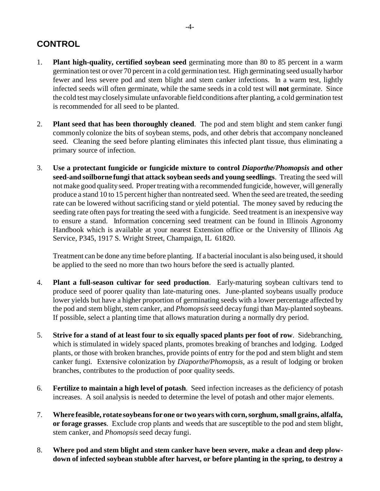# **CONTROL**

- 1. **Plant high-quality, certified soybean seed** germinating more than 80 to 85 percent in a warm germination test or over 70 percent in a cold germination test. High germinating seed usually harbor fewer and less severe pod and stem blight and stem canker infections. In a warm test, lightly infected seeds will often germinate, while the same seeds in a cold test will **not** germinate. Since the cold test may closely simulate unfavorable field conditions after planting, a cold germination test is recommended for all seed to be planted.
- 2. **Plant seed that has been thoroughly cleaned**. The pod and stem blight and stem canker fungi commonly colonize the bits of soybean stems, pods, and other debris that accompany noncleaned seed. Cleaning the seed before planting eliminates this infected plant tissue, thus eliminating a primary source of infection.
- 3. **Use a protectant fungicide or fungicide mixture to control** *Diaporthe/Phomopsis* **and other seed-and soilborne fungi that attack soybean seeds and young seedlings**. Treating the seed will not make good quality seed. Proper treating with a recommended fungicide, however, will generally produce a stand 10 to 15 percent higher than nontreated seed. When the seed are treated, the seeding rate can be lowered without sacrificing stand or yield potential. The money saved by reducing the seeding rate often pays for treating the seed with a fungicide. Seed treatment is an inexpensive way to ensure a stand. Information concerning seed treatment can be found in Illinois Agronomy Handbook which is available at your nearest Extension office or the University of Illinois Ag Service, P345, 1917 S. Wright Street, Champaign, IL 61820.

Treatment can be done any time before planting. If a bacterial inoculant is also being used, it should be applied to the seed no more than two hours before the seed is actually planted.

- 4. **Plant a full-season cultivar for seed production**. Early-maturing soybean cultivars tend to produce seed of poorer quality than late-maturing ones. June-planted soybeans usually produce lower yields but have a higher proportion of germinating seeds with a lower percentage affected by the pod and stem blight, stem canker, and *Phomopsis* seed decay fungi than May-planted soybeans. If possible, select a planting time that allows maturation during a normally dry period.
- 5. **Strive for a stand of at least four to six equally spaced plants per foot of row**. Sidebranching, which is stimulated in widely spaced plants, promotes breaking of branches and lodging. Lodged plants, or those with broken branches, provide points of entry for the pod and stem blight and stem canker fungi. Extensive colonization by *Diaporthe/Phomopsis,* as a result of lodging or broken branches, contributes to the production of poor quality seeds.
- 6. **Fertilize to maintain a high level of potash**. Seed infection increases as the deficiency of potash increases. A soil analysis is needed to determine the level of potash and other major elements.
- 7. **Where feasible, rotate soybeans for one or two years with corn, sorghum, small grains, alfalfa, or forage grasses**. Exclude crop plants and weeds that are susceptible to the pod and stem blight, stem canker, and *Phomopsis* seed decay fungi.
- 8. **Where pod and stem blight and stem canker have been severe, make a clean and deep plowdown of infected soybean stubble after harvest, or before planting in the spring, to destroy a**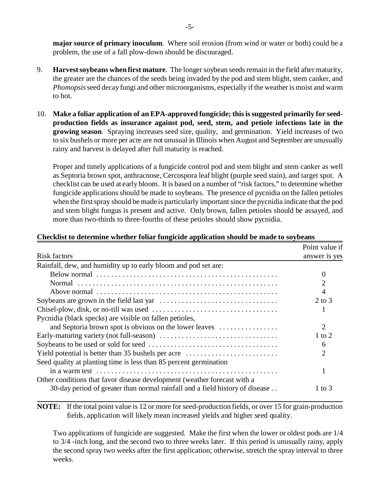**major source of primary inoculum**. Where soil erosion (from wind or water or both) could be a problem, the use of a fall plow-down should be discouraged.

- 9. **Harvest soybeans when first mature**. The longer soybean seeds remain in the field after maturity, the greater are the chances of the seeds being invaded by the pod and stem blight, stem canker, and *Phomopsis* seed decay fungi and other microorganisms, especially if the weather is moist and warm to hot.
- 10. **Make a foliar application of an EPA-approved fungicide; this is suggested primarily for seedproduction fields as insurance against pod, seed, stem, and petiole infections late in the growing season**. Spraying increases seed size, quality, and germination. Yield increases of two to six bushels or more per acre are not unusual in Illinois when August and September are unusually rainy and harvest is delayed after full maturity is reached.

Proper and timely applications of a fungicide control pod and stem blight and stem canker as well as Septoria brown spot, anthracnose, Cercospora leaf blight (purple seed stain), and target spot. A checklist can be used at early bloom. It is based on a number of "risk factors," to determine whether fungicide applications should be made to soybeans. The presence of pycnidia on the fallen petioles when the first spray should be made is particularly important since the pycnidia indicate that the pod and stem blight fungus is present and active. Only brown, fallen petioles should be assayed, and more than two-thirds to three-fourths of these petioles should show pycnidia.

|                                                                              | Point value if    |
|------------------------------------------------------------------------------|-------------------|
| <b>Risk factors</b>                                                          | answer is yes     |
| Rainfall, dew, and humidity up to early bloom and pod set are:               |                   |
|                                                                              | 0                 |
|                                                                              |                   |
|                                                                              |                   |
|                                                                              | $2 \text{ to } 3$ |
|                                                                              |                   |
| Pycnidia (black specks) are visible on fallen petioles,                      |                   |
| and Septoria brown spot is obvious on the lower leaves                       | 2                 |
|                                                                              | 1 to 2            |
|                                                                              | 6                 |
| Yield potential is better than 35 bushels per acre                           | 2                 |
| Seed quality at planting time is less than 85 percent germination            |                   |
|                                                                              |                   |
| Other conditions that favor disease development (weather forecast with a     |                   |
| 30-day period of greater than normal rainfall and a field history of disease | 1 to 3            |

#### **Checklist to determine whether foliar fungicide application should be made to soybeans**

**NOTE:** If the total point value is 12 or more for seed-production fields, or over 15 for grain-production fields, application will likely mean increased yields and higher seed quality.

Two applications of fungicide are suggested. Make the first when the lower or oldest pods are 1/4 to 3/4 -inch long, and the second two to three weeks later. If this period is unusually rainy, apply the second spray two weeks after the first application; otherwise, stretch the spray interval to three weeks.